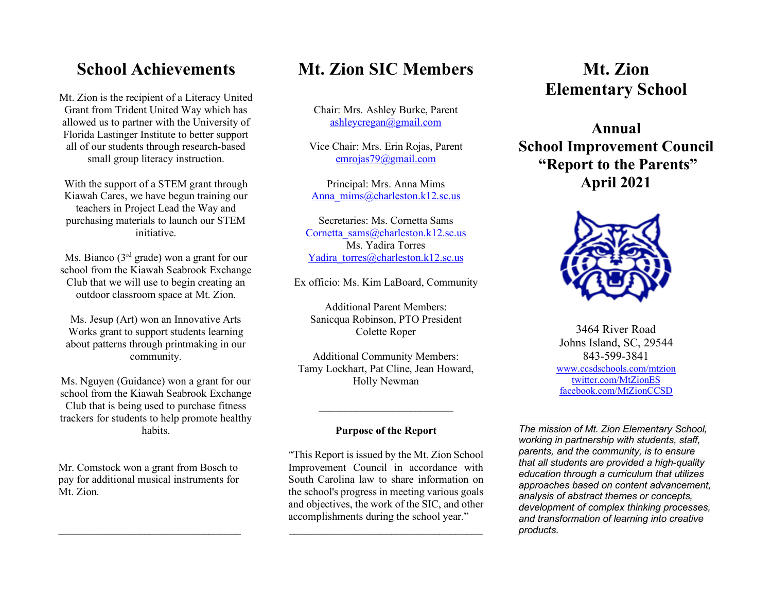## **School Achievements**

Mt. Zion is the recipient of a Literacy United Grant from Trident United Way which has allowed us to partner with the University of Florida Lastinger Institute to better support all of our students through research-based small group literacy instruction.

With the support of a STEM grant through Kiawah Cares, we have begun training our teachers in Project Lead the Way and purchasing materials to launch our STEM initiative.

Ms. Bianco ( $3<sup>rd</sup>$  grade) won a grant for our school from the Kiawah Seabrook Exchange Club that we will use to begin creating an outdoor classroom space at Mt. Zion.

Ms. Jesup (Art) won an Innovative Arts Works grant to support students learning about patterns through printmaking in our community.

Ms. Nguyen (Guidance) won a grant for our school from the Kiawah Seabrook Exchange Club that is being used to purchase fitness trackers for students to help promote healthy habits.

Mr. Comstock won a grant from Bosch to pay for additional musical instruments for Mt. Zion.

 $\mathcal{L}_\text{max}$ 

# **Mt. Zion SIC Members**

Chair: Mrs. Ashley Burke, Parent ashleycregan@gmail.com

Vice Chair: Mrs. Erin Rojas, Parent emrojas79@gmail.com

Principal: Mrs. Anna Mims Anna\_mims@charleston.k12.sc.us

Secretaries: Ms. Cornetta Sams Cornetta\_sams@charleston.k12.sc.us Ms. Yadira Torres Yadira\_torres@charleston.k12.sc.us

Ex officio: Ms. Kim LaBoard, Community

Additional Parent Members: Sanicqua Robinson, PTO President Colette Roper

Additional Community Members: Tamy Lockhart, Pat Cline, Jean Howard, Holly Newman

#### **Purpose of the Report**

*\_\_\_\_\_\_\_\_\_\_\_\_\_\_\_\_\_\_\_\_\_\_\_\_\_*

"This Report is issued by the Mt. Zion School Improvement Council in accordance with South Carolina law to share information on the school's progress in meeting various goals and objectives, the work of the SIC, and other accomplishments during the school year." *\_\_\_\_\_\_\_\_\_\_\_\_\_\_\_\_\_\_\_\_\_\_\_\_\_\_\_\_\_\_\_\_\_\_\_\_*

# **Mt. Zion Elementary School**

**Annual School Improvement Council "Report to the Parents" April 2021**



3464 River Road Johns Island, SC, 29544 843-599-3841 www.ccsdschools.com/mtzion twitter.com/MtZionES facebook.com/MtZionCCSD

*The mission of Mt. Zion Elementary School, working in partnership with students, staff, parents, and the community, is to ensure that all students are provided a high-quality education through a curriculum that utilizes approaches based on content advancement, analysis of abstract themes or concepts, development of complex thinking processes, and transformation of learning into creative products.*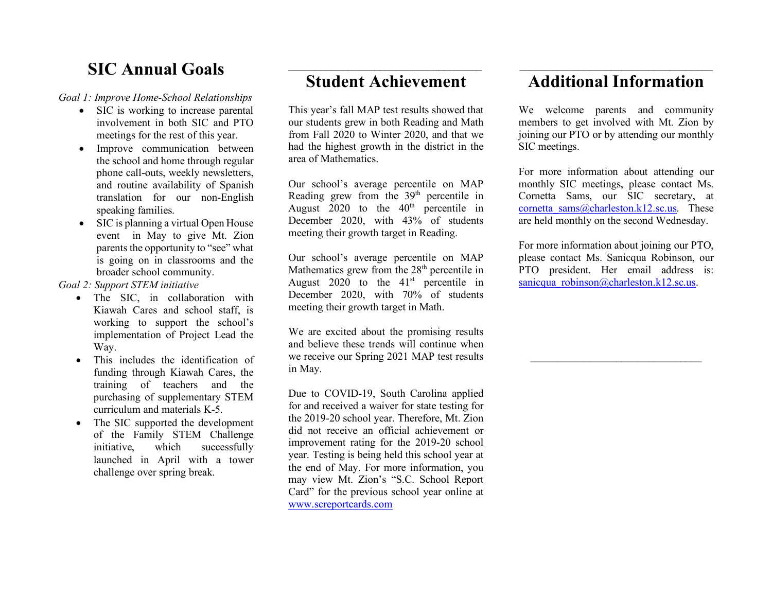# **SIC Annual Goals**

*Goal 1: Improve Home-School Relationships*

- SIC is working to increase parental involvement in both SIC and PTO meetings for the rest of this year.
- Improve communication between the school and home through regular phone call-outs, weekly newsletters, and routine availability of Spanish translation for our non-English speaking families.
- SIC is planning a virtual Open House event in May to give Mt. Zion parents the opportunity to "see" what is going on in classrooms and the broader school community.

*Goal 2: Support STEM initiative*

- The SIC, in collaboration with Kiawah Cares and school staff, is working to support the school's implementation of Project Lead the Way.
- This includes the identification of funding through Kiawah Cares, the training of teachers and the purchasing of supplementary STEM curriculum and materials K-5.
- The SIC supported the development of the Family STEM Challenge initiative, which successfully launched in April with a tower challenge over spring break.

## $\mathcal{L}_\text{max}$ **Student Achievement**

This year's fall MAP test results showed that our students grew in both Reading and Math from Fall 2020 to Winter 2020, and that we had the highest growth in the district in the area of Mathematics.

Our school's average percentile on MAP Reading grew from the  $39<sup>th</sup>$  percentile in August  $2020$  to the  $40<sup>th</sup>$  percentile in December 2020, with 43% of students meeting their growth target in Reading.

Our school's average percentile on MAP Mathematics grew from the 28<sup>th</sup> percentile in August  $2020$  to the  $41<sup>st</sup>$  percentile in December 2020, with 70% of students meeting their growth target in Math.

We are excited about the promising results and believe these trends will continue when we receive our Spring 2021 MAP test results in May.

Due to COVID-19, South Carolina applied for and received a waiver for state testing for the 2019-20 school year. Therefore, Mt. Zion did not receive an official achievement or improvement rating for the 2019-20 school year. Testing is being held this school year at the end of May. For more information, you may view Mt. Zion's "S.C. School Report Card" for the previous school year online at www.screportcards.com

### $\mathcal{L}_\text{max}$ **Additional Information**

We welcome parents and community members to get involved with Mt. Zion by joining our PTO or by attending our monthly SIC meetings.

For more information about attending our monthly SIC meetings, please contact Ms. Cornetta Sams, our SIC secretary, at cornetta\_sams@charleston.k12.sc.us. These are held monthly on the second Wednesday.

For more information about joining our PTO, please contact Ms. Sanicqua Robinson, our PTO president. Her email address is: sanicqua\_robinson@charleston.k12.sc.us.

 $\overline{\phantom{a}}$  , where  $\overline{\phantom{a}}$  , where  $\overline{\phantom{a}}$  ,  $\overline{\phantom{a}}$  ,  $\overline{\phantom{a}}$  ,  $\overline{\phantom{a}}$  ,  $\overline{\phantom{a}}$  ,  $\overline{\phantom{a}}$  ,  $\overline{\phantom{a}}$  ,  $\overline{\phantom{a}}$  ,  $\overline{\phantom{a}}$  ,  $\overline{\phantom{a}}$  ,  $\overline{\phantom{a}}$  ,  $\overline{\phantom{a}}$  ,  $\overline{\phantom{a}}$  ,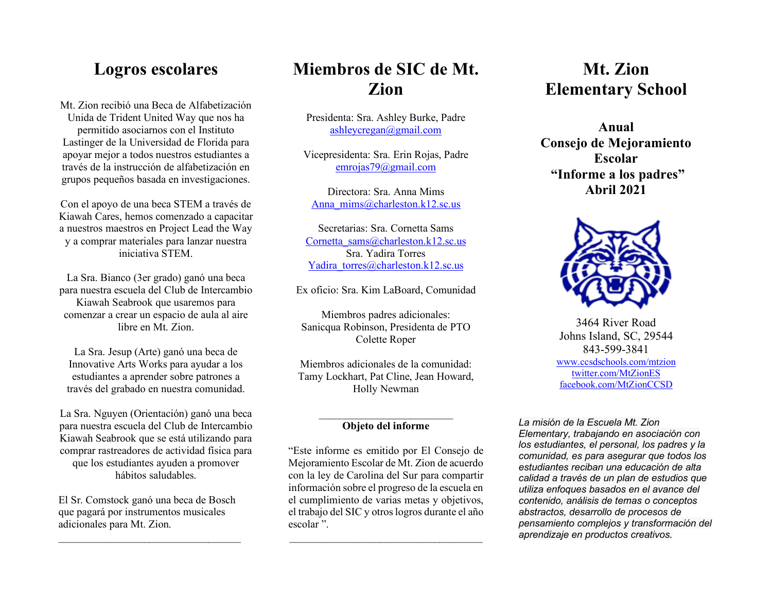## **Logros escolares**

Mt. Zion recibió una Beca de Alfabetización Unida de Trident United Way que nos ha permitido asociarnos con el Instituto Lastinger de la Universidad de Florida para apoyar mejor a todos nuestros estudiantes a través de la instrucción de alfabetización en grupos pequeños basada en investigaciones.

Con el apoyo de una beca STEM a través de Kiawah Cares, hemos comenzado a capacitar a nuestros maestros en Project Lead the Way y a comprar materiales para lanzar nuestra iniciativa STEM.

La Sra. Bianco (3er grado) ganó una beca para nuestra escuela del Club de Intercambio Kiawah Seabrook que usaremos para comenzar a crear un espacio de aula al aire libre en Mt. Zion.

La Sra. Jesup (Arte) ganó una beca de Innovative Arts Works para ayudar a los estudiantes a aprender sobre patrones a través del grabado en nuestra comunidad.

La Sra. Nguyen (Orientación) ganó una beca para nuestra escuela del Club de Intercambio Kiawah Seabrook que se está utilizando para comprar rastreadores de actividad física para que los estudiantes ayuden a promover hábitos saludables.

El Sr. Comstock ganó una beca de Bosch que pagará por instrumentos musicales adicionales para Mt. Zion.

 $\mathcal{L}_\text{max}$  , where  $\mathcal{L}_\text{max}$  is the set of the set of the set of the set of the set of the set of the set of the set of the set of the set of the set of the set of the set of the set of the set of the set of the se

# **Miembros de SIC de Mt. Zion**

Presidenta: Sra. Ashley Burke, Padre ashleycregan@gmail.com

Vicepresidenta: Sra. Erin Rojas, Padre emrojas79@gmail.com

Directora: Sra. Anna Mims Anna\_mims@charleston.k12.sc.us

Secretarias: Sra. Cornetta Sams Cornetta\_sams@charleston.k12.sc.us Sra. Yadira Torres Yadira\_torres@charleston.k12.sc.us

Ex oficio: Sra. Kim LaBoard, Comunidad

Miembros padres adicionales: Sanicqua Robinson, Presidenta de PTO Colette Roper

Miembros adicionales de la comunidad: Tamy Lockhart, Pat Cline, Jean Howard, Holly Newman

#### **Objeto del informe**

"Este informe es emitido por El Consejo de Mejoramiento Escolar de Mt. Zion de acuerdo con la ley de Carolina del Sur para compartir información sobre el progreso de la escuela en el cumplimiento de varias metas y objetivos, el trabajo del SIC y otros logros durante el año escolar ".

*\_\_\_\_\_\_\_\_\_\_\_\_\_\_\_\_\_\_\_\_\_\_\_\_\_\_\_\_\_\_\_\_\_\_\_\_*

## **Mt. Zion Elementary School**

**Anual Consejo de Mejoramiento Escolar "Informe a los padres" Abril 2021**



3464 River Road Johns Island, SC, 29544 843-599-3841 www.ccsdschools.com/mtzion twitter.com/MtZionES facebook.com/MtZionCCSD

*La misión de la Escuela Mt. Zion Elementary, trabajando en asociación con los estudiantes, el personal, los padres y la comunidad, es para asegurar que todos los estudiantes reciban una educación de alta calidad a través de un plan de estudios que utiliza enfoques basados en el avance del contenido, análisis de temas o conceptos abstractos, desarrollo de procesos de pensamiento complejos y transformación del aprendizaje en productos creativos.*